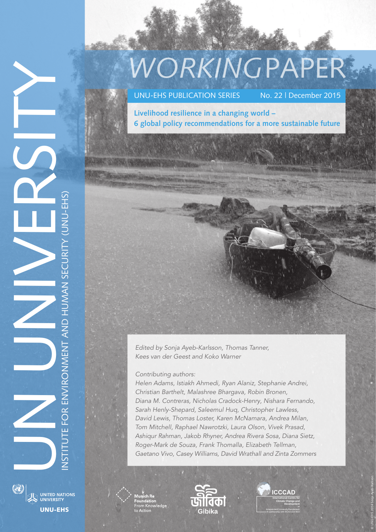# *WORKING*PAPER

UNU-EHS PUBLICATION SERIES No. 22 | December 2015

**Livelihood resilience in a changing world**  – **6 global policy recommendations for a more sustainable future**

Edited by Sonja Ayeb-Karlsson, Thomas Tanner, Kees van der Geest and Koko Warner

Contributing authors:

Helen Adams, Istiakh Ahmedi, Ryan Alaniz, Stephanie Andrei, Christian Barthelt, Malashree Bhargava, Robin Bronen, Diana M. Contreras, Nicholas Cradock -Henry, Nishara Fernando, Sarah Henly-Shepard, Saleemul Huq, Christopher Lawless, David Lewis, Thomas Loster, Karen McNamara, Andrea Milan, Tom Mitchell, Raphael Nawrotzki, Laura Olson, Vivek Prasad, Ashiqur Rahman, Jakob Rhyner, Andrea Rivera Sosa, Diana Sietz, Roger-Mark de Souza, Frank Thomalla, Elizabeth Tellman, Gaetano Vivo, Casey Williams, David Wrathall and Zinta Zommers



NUS UNIVERSITY

INSTITUTE FOR ENVIRONMENT AND HUMAN SECURITY (UNU-EHS)

NSTITUTE FOR ENVIRONMENT AND HUMAN SECURITY (UNU-EHS)





© UNU-EHS 2014 Sonja Ayeb-Karlsson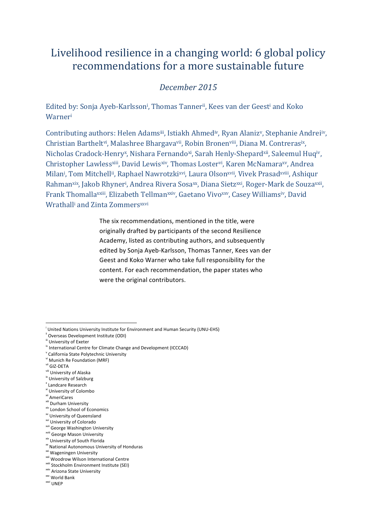# Livelihood resilience in a changing world: 6 global policy recommendations for a more sustainable future

# *December 2015*

Edited by: Sonja Ayeb-Karlsson<sup>i</sup>, Thomas Tanner<sup>ii</sup>, Kees van der Geest<sup>i</sup> and Koko Warneri

Contributing authors: Helen Adamsiii, Istiakh Ahmediv, Ryan Alanizv, Stephanie Andreiiv, Christian Barthelt<sup>vi</sup>, Malashree Bhargava<sup>vii</sup>, Robin Bronen<sup>viii</sup>, Diana M. Contrerasix, Nicholas Cradock-Henry<sup>x</sup>, Nishara Fernando<sup>xi</sup>, Sarah Henly-Shepard<sup>xii</sup>, Saleemul Huq<sup>iv</sup>, Christopher Lawless<sup>xiii</sup>, David Lewisxiv, Thomas Lostervi, Karen McNamaraxv, Andrea Milan<sup>i</sup>, Tom Mitchell<sup>ii</sup>, Raphael Nawrotzki<sup>xvi</sup>, Laura Olson<sup>xvii</sup>, Vivek Prasad<sup>xviii</sup>, Ashiqur Rahman<sup>xix</sup>, Jakob Rhyner<sup>i</sup>, Andrea Rivera Sosa<sup>xx</sup>, Diana Sietz<sup>xxi</sup>, Roger-Mark de Souza<sup>xxii</sup>, Frank Thomallaxxiii, Elizabeth Tellmanxxiv, Gaetano Vivoxxv, Casey Williamsiv, David Wrathall<sup>i</sup> and Zinta Zommers<sup>xxvi</sup>

> The six recommendations, mentioned in the title, were originally drafted by participants of the second Resilience Academy, listed as contributing authors, and subsequently edited by Sonja Ayeb-Karlsson, Thomas Tanner, Kees van der Geest and Koko Warner who take full responsibility for the content. For each recommendation, the paper states who were the original contributors.

- <sup>v</sup> California State Polytechnic University
- vi Munich Re Foundation (MRF)
- vii GIZ-DETA
- viii University of Alaska
- ix University of Salzburg
- x Landcare Research
- xi University of Colombo
- <sup>ii</sup> AmeriCares
- xiii Durham University
- xiv London School of Economics
- xv University of Queensland
- <sup>wi</sup> University of Colorado
- <sup>xvii</sup> George Washington University
- xviii George Mason University
- xix University of South Florida
- <sup>xx</sup> National Autonomous University of Honduras

- xxii Woodrow Wilson International Centre
- xxiii Stockholm Environment Institute (SEI)
- xxiv Arizona State University
- xxv World Bank
- xxvi UNEP

<sup>&</sup>lt;sup>i</sup> United Nations University Institute for Environment and Human Security (UNU-EHS)

<sup>&</sup>lt;sup>ii</sup> Overseas Development Institute (ODI)

iii University of Exeter

 $\mu$ <sup>w</sup> International Centre for Climate Change and Development (ICCCAD)

<sup>&</sup>lt;sup>xxi</sup> Wageningen University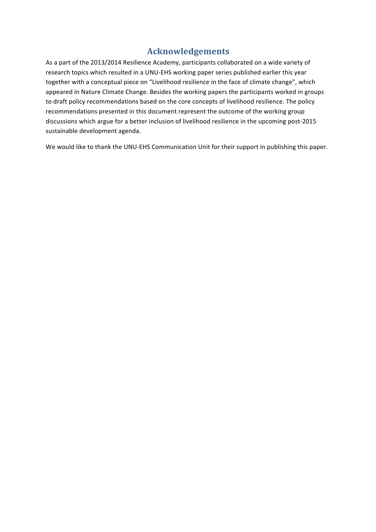# **Acknowledgements**

As a part of the 2013/2014 Resilience Academy, participants collaborated on a wide variety of research topics which resulted in a UNU-EHS working paper series published earlier this year together with a conceptual piece on "Livelihood resilience in the face of climate change", which appeared in Nature Climate Change. Besides the working papers the participants worked in groups to draft policy recommendations based on the core concepts of livelihood resilience. The policy recommendations presented in this document represent the outcome of the working group discussions which argue for a better inclusion of livelihood resilience in the upcoming post-2015 sustainable development agenda.

We would like to thank the UNU-EHS Communication Unit for their support in publishing this paper.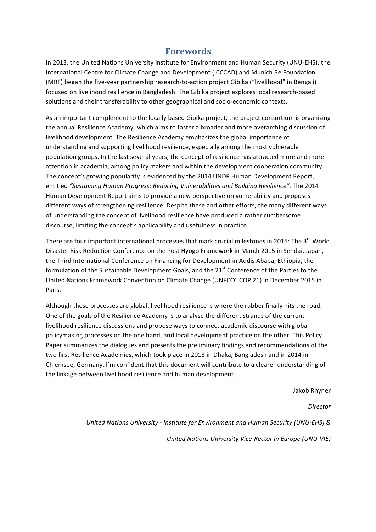# **Forewords**

In 2013, the United Nations University Institute for Environment and Human Security (UNU-EHS), the International Centre for Climate Change and Development (ICCCAD) and Munich Re Foundation (MRF) began the five-year partnership research-to-action project Gibika ("livelihood" in Bengali) focused on livelihood resilience in Bangladesh. The Gibika project explores local research-based solutions and their transferability to other geographical and socio-economic contexts.

As an important complement to the locally based Gibika project, the project consortium is organizing the annual Resilience Academy, which aims to foster a broader and more overarching discussion of livelihood development. The Resilience Academy emphasizes the global importance of understanding and supporting livelihood resilience, especially among the most vulnerable population groups. In the last several years, the concept of resilience has attracted more and more attention in academia, among policy makers and within the development cooperation community. The concept's growing popularity is evidenced by the 2014 UNDP Human Development Report, entitled "Sustaining Human Progress: Reducing Vulnerabilities and Building Resilience". The 2014 Human Development Report aims to provide a new perspective on vulnerability and proposes different ways of strengthening resilience. Despite these and other efforts, the many different ways of understanding the concept of livelihood resilience have produced a rather cumbersome discourse, limiting the concept's applicability and usefulness in practice.

There are four important international processes that mark crucial milestones in 2015: The 3<sup>rd</sup> World Disaster Risk Reduction Conference on the Post Hyogo Framework in March 2015 in Sendai, Japan, the Third International Conference on Financing for Development in Addis Ababa, Ethiopia, the formulation of the Sustainable Development Goals, and the 21<sup>st</sup> Conference of the Parties to the United Nations Framework Convention on Climate Change (UNFCCC COP 21) in December 2015 in Paris.

Although these processes are global, livelihood resilience is where the rubber finally hits the road. One of the goals of the Resilience Academy is to analyse the different strands of the current livelihood resilience discussions and propose ways to connect academic discourse with global policymaking processes on the one hand, and local development practice on the other. This Policy Paper summarizes the dialogues and presents the preliminary findings and recommendations of the two first Resilience Academies, which took place in 2013 in Dhaka, Bangladesh and in 2014 in Chiemsee, Germany. I'm confident that this document will contribute to a clearer understanding of the linkage between livelihood resilience and human development.

Jakob Rhyner

*Director*

*United Nations University - Institute for Environment and Human Security (UNU-EHS) &*

*United Nations University Vice-Rector in Europe (UNU-VIE)*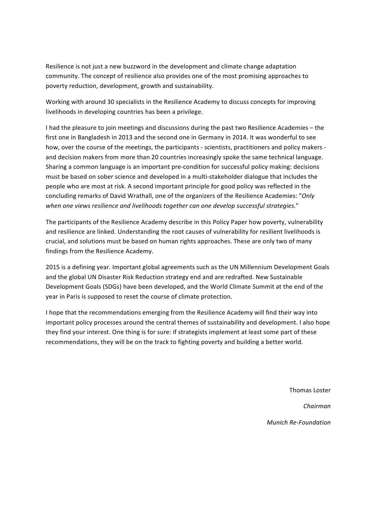Resilience is not just a new buzzword in the development and climate change adaptation community. The concept of resilience also provides one of the most promising approaches to poverty reduction, development, growth and sustainability.

Working with around 30 specialists in the Resilience Academy to discuss concepts for improving livelihoods in developing countries has been a privilege.

I had the pleasure to join meetings and discussions during the past two Resilience Academies – the first one in Bangladesh in 2013 and the second one in Germany in 2014. It was wonderful to see how, over the course of the meetings, the participants - scientists, practitioners and policy makers and decision makers from more than 20 countries increasingly spoke the same technical language. Sharing a common language is an important pre-condition for successful policy making: decisions must be based on sober science and developed in a multi-stakeholder dialogue that includes the people who are most at risk. A second important principle for good policy was reflected in the concluding remarks of David Wrathall, one of the organizers of the Resilience Academies: "*Only* when one views resilience and livelihoods together can one develop successful strategies."

The participants of the Resilience Academy describe in this Policy Paper how poverty, vulnerability and resilience are linked. Understanding the root causes of vulnerability for resilient livelihoods is crucial, and solutions must be based on human rights approaches. These are only two of many findings from the Resilience Academy.

2015 is a defining year. Important global agreements such as the UN Millennium Development Goals and the global UN Disaster Risk Reduction strategy end and are redrafted. New Sustainable Development Goals (SDGs) have been developed, and the World Climate Summit at the end of the year in Paris is supposed to reset the course of climate protection.

I hope that the recommendations emerging from the Resilience Academy will find their way into important policy processes around the central themes of sustainability and development. I also hope they find your interest. One thing is for sure: if strategists implement at least some part of these recommendations, they will be on the track to fighting poverty and building a better world.

Thomas Loster

*Chairman* 

*Munich Re-Foundation*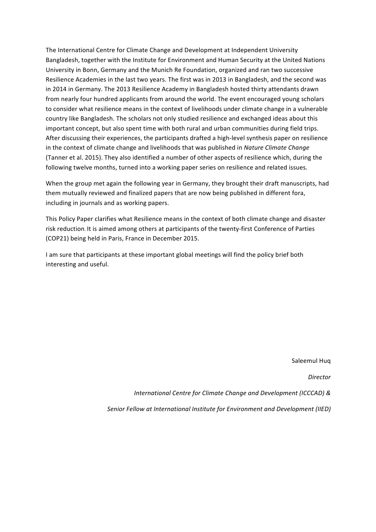The International Centre for Climate Change and Development at Independent University Bangladesh, together with the Institute for Environment and Human Security at the United Nations University in Bonn, Germany and the Munich Re Foundation, organized and ran two successive Resilience Academies in the last two years. The first was in 2013 in Bangladesh, and the second was in 2014 in Germany. The 2013 Resilience Academy in Bangladesh hosted thirty attendants drawn from nearly four hundred applicants from around the world. The event encouraged young scholars to consider what resilience means in the context of livelihoods under climate change in a vulnerable country like Bangladesh. The scholars not only studied resilience and exchanged ideas about this important concept, but also spent time with both rural and urban communities during field trips. After discussing their experiences, the participants drafted a high-level synthesis paper on resilience in the context of climate change and livelihoods that was published in *Nature Climate Change* (Tanner et al. 2015). They also identified a number of other aspects of resilience which, during the following twelve months, turned into a working paper series on resilience and related issues.

When the group met again the following year in Germany, they brought their draft manuscripts, had them mutually reviewed and finalized papers that are now being published in different fora, including in journals and as working papers.

This Policy Paper clarifies what Resilience means in the context of both climate change and disaster risk reduction. It is aimed among others at participants of the twenty-first Conference of Parties (COP21) being held in Paris, France in December 2015.

I am sure that participants at these important global meetings will find the policy brief both interesting and useful.

Saleemul Huq

*Director* 

*International Centre for Climate Change and Development (ICCCAD)* **&** 

Senior Fellow at International Institute for Environment and Development (IIED)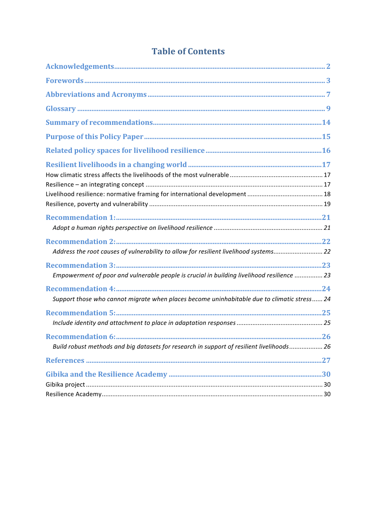| Address the root causes of vulnerability to allow for resilient livelihood systems22        |  |
|---------------------------------------------------------------------------------------------|--|
| Empowerment of poor and vulnerable people is crucial in building livelihood resilience  23  |  |
| Support those who cannot migrate when places become uninhabitable due to climatic stress 24 |  |
|                                                                                             |  |
| Build robust methods and big datasets for research in support of resilient livelihoods 26   |  |
|                                                                                             |  |
|                                                                                             |  |
|                                                                                             |  |

# **Table of Contents**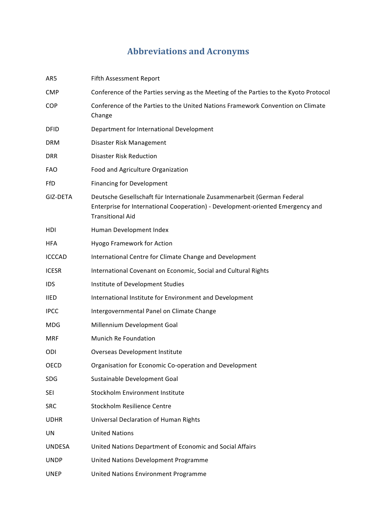# **Abbreviations and Acronyms**

| AR5           | Fifth Assessment Report                                                                                                                                                              |
|---------------|--------------------------------------------------------------------------------------------------------------------------------------------------------------------------------------|
| <b>CMP</b>    | Conference of the Parties serving as the Meeting of the Parties to the Kyoto Protocol                                                                                                |
| <b>COP</b>    | Conference of the Parties to the United Nations Framework Convention on Climate<br>Change                                                                                            |
| <b>DFID</b>   | Department for International Development                                                                                                                                             |
| <b>DRM</b>    | Disaster Risk Management                                                                                                                                                             |
| <b>DRR</b>    | <b>Disaster Risk Reduction</b>                                                                                                                                                       |
| <b>FAO</b>    | Food and Agriculture Organization                                                                                                                                                    |
| FfD           | <b>Financing for Development</b>                                                                                                                                                     |
| GIZ-DETA      | Deutsche Gesellschaft für Internationale Zusammenarbeit (German Federal<br>Enterprise for International Cooperation) - Development-oriented Emergency and<br><b>Transitional Aid</b> |
| <b>HDI</b>    | Human Development Index                                                                                                                                                              |
| <b>HFA</b>    | Hyogo Framework for Action                                                                                                                                                           |
| <b>ICCCAD</b> | International Centre for Climate Change and Development                                                                                                                              |
| <b>ICESR</b>  | International Covenant on Economic, Social and Cultural Rights                                                                                                                       |
| <b>IDS</b>    | Institute of Development Studies                                                                                                                                                     |
| <b>IIED</b>   | International Institute for Environment and Development                                                                                                                              |
| <b>IPCC</b>   | Intergovernmental Panel on Climate Change                                                                                                                                            |
| MDG           | Millennium Development Goal                                                                                                                                                          |
| <b>MRF</b>    | <b>Munich Re Foundation</b>                                                                                                                                                          |
| ODI           | Overseas Development Institute                                                                                                                                                       |
| OECD          | Organisation for Economic Co-operation and Development                                                                                                                               |
| SDG           | Sustainable Development Goal                                                                                                                                                         |
| <b>SEI</b>    | Stockholm Environment Institute                                                                                                                                                      |
| <b>SRC</b>    | Stockholm Resilience Centre                                                                                                                                                          |
| <b>UDHR</b>   | Universal Declaration of Human Rights                                                                                                                                                |
| UN            | <b>United Nations</b>                                                                                                                                                                |
| <b>UNDESA</b> | United Nations Department of Economic and Social Affairs                                                                                                                             |
| <b>UNDP</b>   | United Nations Development Programme                                                                                                                                                 |
| <b>UNEP</b>   | United Nations Environment Programme                                                                                                                                                 |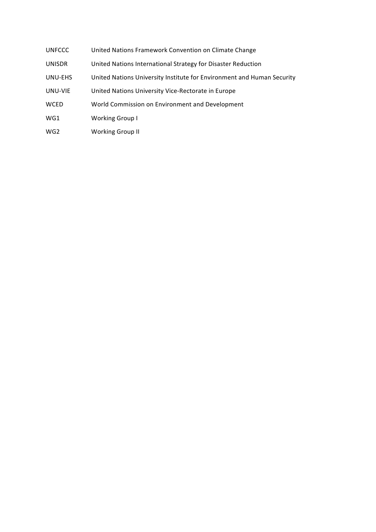- UNFCCC United Nations Framework Convention on Climate Change
- UNISDR United Nations International Strategy for Disaster Reduction
- UNU-EHS United Nations University Institute for Environment and Human Security
- UNU-VIE United Nations University Vice-Rectorate in Europe
- WCED World Commission on Environment and Development
- WG1 Working Group I
- WG2 Working Group II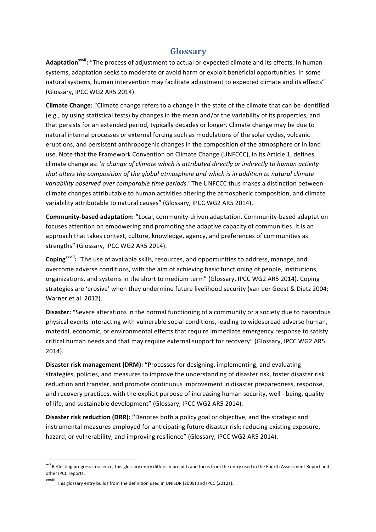# **Glossary**

Adaptation<sup>xxvii</sup>: "The process of adjustment to actual or expected climate and its effects. In human systems, adaptation seeks to moderate or avoid harm or exploit beneficial opportunities. In some natural systems, human intervention may facilitate adjustment to expected climate and its effects" (Glossary, IPCC WG2 AR5 2014).

**Climate Change:** "Climate change refers to a change in the state of the climate that can be identified (e.g., by using statistical tests) by changes in the mean and/or the variability of its properties, and that persists for an extended period, typically decades or longer. Climate change may be due to natural internal processes or external forcing such as modulations of the solar cycles, volcanic eruptions, and persistent anthropogenic changes in the composition of the atmosphere or in land use. Note that the Framework Convention on Climate Change (UNFCCC), in its Article 1, defines climate change as: 'a change of climate which is attributed directly or indirectly to human activity *that alters the composition of the global atmosphere and which is in addition to natural climate* variability observed over comparable time periods.' The UNFCCC thus makes a distinction between climate changes attributable to human activities altering the atmospheric composition, and climate variability attributable to natural causes" (Glossary, IPCC WG2 AR5 2014).

**Community-based adaptation:** "Local, community-driven adaptation. Community-based adaptation focuses attention on empowering and promoting the adaptive capacity of communities. It is an approach that takes context, culture, knowledge, agency, and preferences of communities as strengths" (Glossary, IPCC WG2 AR5 2014).

Coping<sup>xxviii</sup>: "The use of available skills, resources, and opportunities to address, manage, and overcome adverse conditions, with the aim of achieving basic functioning of people, institutions, organizations, and systems in the short to medium term" (Glossary, IPCC WG2 AR5 2014). Coping strategies are 'erosive' when they undermine future livelihood security (van der Geest & Dietz 2004; Warner et al. 2012).

**Disaster:** "Severe alterations in the normal functioning of a community or a society due to hazardous physical events interacting with vulnerable social conditions, leading to widespread adverse human, material, economic, or environmental effects that require immediate emergency response to satisfy critical human needs and that may require external support for recovery" (Glossary, IPCC WG2 AR5 2014).

**Disaster risk management (DRM):** "Processes for designing, implementing, and evaluating strategies, policies, and measures to improve the understanding of disaster risk, foster disaster risk reduction and transfer, and promote continuous improvement in disaster preparedness, response, and recovery practices, with the explicit purpose of increasing human security, well - being, quality of life, and sustainable development" (Glossary, IPCC WG2 AR5 2014).

**Disaster risk reduction (DRR): "Denotes both a policy goal or objective, and the strategic and** instrumental measures employed for anticipating future disaster risk; reducing existing exposure, hazard, or vulnerability; and improving resilience" (Glossary, IPCC WG2 AR5 2014).

<sup>&</sup>lt;sup>xxvii</sup> Reflecting progress in science, this glossary entry differs in breadth and focus from the entry used in the Fourth Assessment Report and other IPCC reports.

xxviii This glossary entry builds from the definition used in UNISDR (2009) and IPCC (2012a).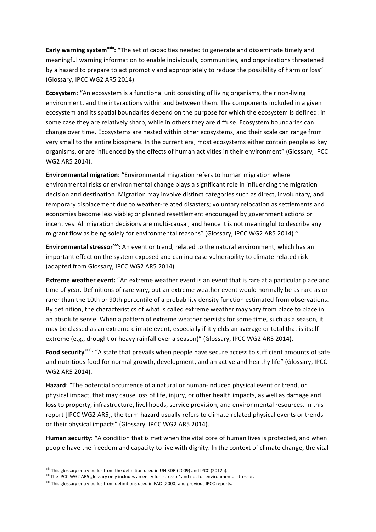**Early warning system<sup>xxix</sup>: "The set of capacities needed to generate and disseminate timely and** meaningful warning information to enable individuals, communities, and organizations threatened by a hazard to prepare to act promptly and appropriately to reduce the possibility of harm or loss" (Glossary, IPCC WG2 AR5 2014).

**Ecosystem:** "An ecosystem is a functional unit consisting of living organisms, their non-living environment, and the interactions within and between them. The components included in a given ecosystem and its spatial boundaries depend on the purpose for which the ecosystem is defined: in some case they are relatively sharp, while in others they are diffuse. Ecosystem boundaries can change over time. Ecosystems are nested within other ecosystems, and their scale can range from very small to the entire biosphere. In the current era, most ecosystems either contain people as key organisms, or are influenced by the effects of human activities in their environment" (Glossary, IPCC WG2 AR5 2014).

**Environmental migration:** "Environmental migration refers to human migration where environmental risks or environmental change plays a significant role in influencing the migration decision and destination. Migration may involve distinct categories such as direct, involuntary, and temporary displacement due to weather-related disasters; voluntary relocation as settlements and economies become less viable; or planned resettlement encouraged by government actions or incentives. All migration decisions are multi-causal, and hence it is not meaningful to describe any migrant flow as being solely for environmental reasons" (Glossary, IPCC WG2 AR5 2014)."

**Environmental stressor**<sup>xox</sup>: An event or trend, related to the natural environment, which has an important effect on the system exposed and can increase vulnerability to climate-related risk (adapted from Glossary, IPCC WG2 AR5 2014).

**Extreme weather event:** "An extreme weather event is an event that is rare at a particular place and time of year. Definitions of rare vary, but an extreme weather event would normally be as rare as or rarer than the 10th or 90th percentile of a probability density function estimated from observations. By definition, the characteristics of what is called extreme weather may vary from place to place in an absolute sense. When a pattern of extreme weather persists for some time, such as a season, it may be classed as an extreme climate event, especially if it yields an average or total that is itself extreme (e.g., drought or heavy rainfall over a season)" (Glossary, IPCC WG2 AR5 2014).

Food security<sup>xxxi</sup>: "A state that prevails when people have secure access to sufficient amounts of safe and nutritious food for normal growth, development, and an active and healthy life" (Glossary, IPCC WG2 AR5 2014).

Hazard: "The potential occurrence of a natural or human-induced physical event or trend, or physical impact, that may cause loss of life, injury, or other health impacts, as well as damage and loss to property, infrastructure, livelihoods, service provision, and environmental resources. In this report [IPCC WG2 AR5], the term hazard usually refers to climate-related physical events or trends or their physical impacts" (Glossary, IPCC WG2 AR5 2014).

Human security: "A condition that is met when the vital core of human lives is protected, and when people have the freedom and capacity to live with dignity. In the context of climate change, the vital

 $x$ <sup>xxix</sup> This glossary entry builds from the definition used in UNISDR (2009) and IPCC (2012a).

xxx The IPCC WG2 AR5 glossary only includes an entry for 'stressor' and not for environmental stressor.

xxxi This glossary entry builds from definitions used in FAO (2000) and previous IPCC reports.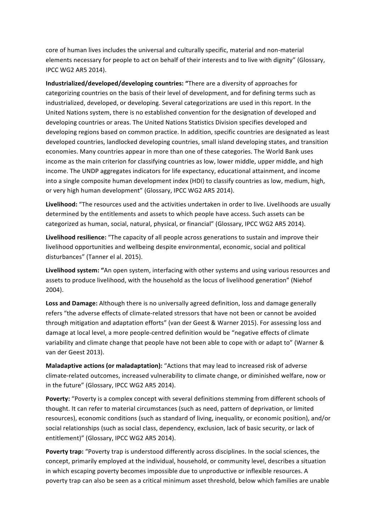core of human lives includes the universal and culturally specific, material and non-material elements necessary for people to act on behalf of their interests and to live with dignity" (Glossary, IPCC WG2 AR5 2014). 

**Industrialized/developed/developing countries: "There are a diversity of approaches for** categorizing countries on the basis of their level of development, and for defining terms such as industrialized, developed, or developing. Several categorizations are used in this report. In the United Nations system, there is no established convention for the designation of developed and developing countries or areas. The United Nations Statistics Division specifies developed and developing regions based on common practice. In addition, specific countries are designated as least developed countries, landlocked developing countries, small island developing states, and transition economies. Many countries appear in more than one of these categories. The World Bank uses income as the main criterion for classifying countries as low, lower middle, upper middle, and high income. The UNDP aggregates indicators for life expectancy, educational attainment, and income into a single composite human development index (HDI) to classify countries as low, medium, high, or very high human development" (Glossary, IPCC WG2 AR5 2014).

Livelihood: "The resources used and the activities undertaken in order to live. Livelihoods are usually determined by the entitlements and assets to which people have access. Such assets can be categorized as human, social, natural, physical, or financial" (Glossary, IPCC WG2 AR5 2014).

Livelihood resilience: "The capacity of all people across generations to sustain and improve their livelihood opportunities and wellbeing despite environmental, economic, social and political disturbances" (Tanner el al. 2015).

Livelihood system: "An open system, interfacing with other systems and using various resources and assets to produce livelihood, with the household as the locus of livelihood generation" (Niehof 2004).

Loss and Damage: Although there is no universally agreed definition, loss and damage generally refers "the adverse effects of climate-related stressors that have not been or cannot be avoided through mitigation and adaptation efforts" (van der Geest & Warner 2015). For assessing loss and damage at local level, a more people-centred definition would be "negative effects of climate variability and climate change that people have not been able to cope with or adapt to" (Warner & van der Geest 2013).

**Maladaptive actions (or maladaptation):** "Actions that may lead to increased risk of adverse climate-related outcomes, increased vulnerability to climate change, or diminished welfare, now or in the future" (Glossary, IPCC WG2 AR5 2014).

**Poverty:** "Poverty is a complex concept with several definitions stemming from different schools of thought. It can refer to material circumstances (such as need, pattern of deprivation, or limited resources), economic conditions (such as standard of living, inequality, or economic position), and/or social relationships (such as social class, dependency, exclusion, lack of basic security, or lack of entitlement)" (Glossary, IPCC WG2 AR5 2014).

**Poverty trap:** "Poverty trap is understood differently across disciplines. In the social sciences, the concept, primarily employed at the individual, household, or community level, describes a situation in which escaping poverty becomes impossible due to unproductive or inflexible resources. A poverty trap can also be seen as a critical minimum asset threshold, below which families are unable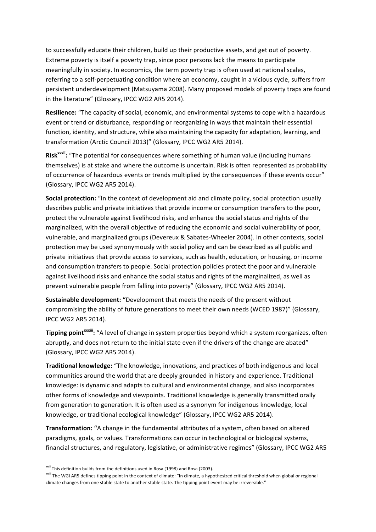to successfully educate their children, build up their productive assets, and get out of poverty. Extreme poverty is itself a poverty trap, since poor persons lack the means to participate meaningfully in society. In economics, the term poverty trap is often used at national scales, referring to a self-perpetuating condition where an economy, caught in a vicious cycle, suffers from persistent underdevelopment (Matsuyama 2008). Many proposed models of poverty traps are found in the literature" (Glossary, IPCC WG2 AR5 2014).

**Resilience:** "The capacity of social, economic, and environmental systems to cope with a hazardous event or trend or disturbance, responding or reorganizing in ways that maintain their essential function, identity, and structure, while also maintaining the capacity for adaptation, learning, and transformation (Arctic Council 2013)" (Glossary, IPCC WG2 AR5 2014).

Risk<sup>xxxii</sup>: "The potential for consequences where something of human value (including humans themselves) is at stake and where the outcome is uncertain. Risk is often represented as probability of occurrence of hazardous events or trends multiplied by the consequences if these events occur" (Glossary, IPCC WG2 AR5 2014).

**Social protection:** "In the context of development aid and climate policy, social protection usually describes public and private initiatives that provide income or consumption transfers to the poor, protect the vulnerable against livelihood risks, and enhance the social status and rights of the marginalized, with the overall objective of reducing the economic and social vulnerability of poor, vulnerable, and marginalized groups (Devereux & Sabates-Wheeler 2004). In other contexts, social protection may be used synonymously with social policy and can be described as all public and private initiatives that provide access to services, such as health, education, or housing, or income and consumption transfers to people. Social protection policies protect the poor and vulnerable against livelihood risks and enhance the social status and rights of the marginalized, as well as prevent vulnerable people from falling into poverty" (Glossary, IPCC WG2 AR5 2014).

**Sustainable development:** "Development that meets the needs of the present without compromising the ability of future generations to meet their own needs (WCED 1987)" (Glossary, IPCC WG2 AR5 2014).

**Tipping point<sup>xxxiii</sup>:** "A level of change in system properties beyond which a system reorganizes, often abruptly, and does not return to the initial state even if the drivers of the change are abated" (Glossary, IPCC WG2 AR5 2014).

**Traditional knowledge:** "The knowledge, innovations, and practices of both indigenous and local communities around the world that are deeply grounded in history and experience. Traditional knowledge: is dynamic and adapts to cultural and environmental change, and also incorporates other forms of knowledge and viewpoints. Traditional knowledge is generally transmitted orally from generation to generation. It is often used as a synonym for indigenous knowledge, local knowledge, or traditional ecological knowledge" (Glossary, IPCC WG2 AR5 2014).

**Transformation:** "A change in the fundamental attributes of a system, often based on altered paradigms, goals, or values. Transformations can occur in technological or biological systems, financial structures, and regulatory, legislative, or administrative regimes" (Glossary, IPCC WG2 AR5

<sup>&</sup>lt;sup>xxxii</sup> This definition builds from the definitions used in Rosa (1998) and Rosa (2003).

<sup>&</sup>lt;sup>xxxiii</sup> The WGI AR5 defines tipping point in the context of climate: "In climate, a hypothesized critical threshold when global or regional climate changes from one stable state to another stable state. The tipping point event may be irreversible."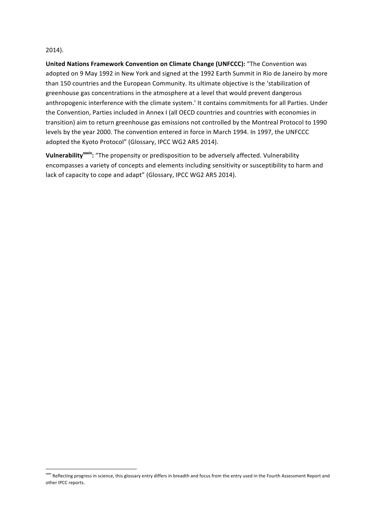#### 2014).

**United Nations Framework Convention on Climate Change (UNFCCC):** "The Convention was adopted on 9 May 1992 in New York and signed at the 1992 Earth Summit in Rio de Janeiro by more than 150 countries and the European Community. Its ultimate objective is the 'stabilization of greenhouse gas concentrations in the atmosphere at a level that would prevent dangerous anthropogenic interference with the climate system.' It contains commitments for all Parties. Under the Convention, Parties included in Annex I (all OECD countries and countries with economies in transition) aim to return greenhouse gas emissions not controlled by the Montreal Protocol to 1990 levels by the year 2000. The convention entered in force in March 1994. In 1997, the UNFCCC adopted the Kyoto Protocol" (Glossary, IPCC WG2 AR5 2014).

**Vulnerability<sup>xxxiv</sup>:** "The propensity or predisposition to be adversely affected. Vulnerability encompasses a variety of concepts and elements including sensitivity or susceptibility to harm and lack of capacity to cope and adapt" (Glossary, IPCC WG2 AR5 2014).

xxxiv Reflecting progress in science, this glossary entry differs in breadth and focus from the entry used in the Fourth Assessment Report and other IPCC reports.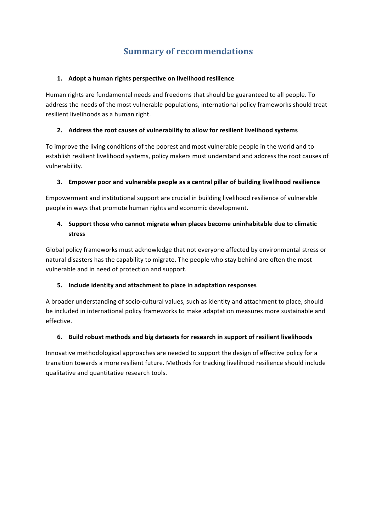# **Summary of recommendations**

#### 1. Adopt a human rights perspective on livelihood resilience

Human rights are fundamental needs and freedoms that should be guaranteed to all people. To address the needs of the most vulnerable populations, international policy frameworks should treat resilient livelihoods as a human right.

#### **2.** Address the root causes of vulnerability to allow for resilient livelihood systems

To improve the living conditions of the poorest and most vulnerable people in the world and to establish resilient livelihood systems, policy makers must understand and address the root causes of vulnerability.

#### **3.** Empower poor and vulnerable people as a central pillar of building livelihood resilience

Empowerment and institutional support are crucial in building livelihood resilience of vulnerable people in ways that promote human rights and economic development.

## **4.** Support those who cannot migrate when places become uninhabitable due to climatic **stress**

Global policy frameworks must acknowledge that not everyone affected by environmental stress or natural disasters has the capability to migrate. The people who stay behind are often the most vulnerable and in need of protection and support.

## **5.** Include identity and attachment to place in adaptation responses

A broader understanding of socio-cultural values, such as identity and attachment to place, should be included in international policy frameworks to make adaptation measures more sustainable and effective. 

## **6. Build robust methods and big datasets for research in support of resilient livelihoods**

Innovative methodological approaches are needed to support the design of effective policy for a transition towards a more resilient future. Methods for tracking livelihood resilience should include qualitative and quantitative research tools.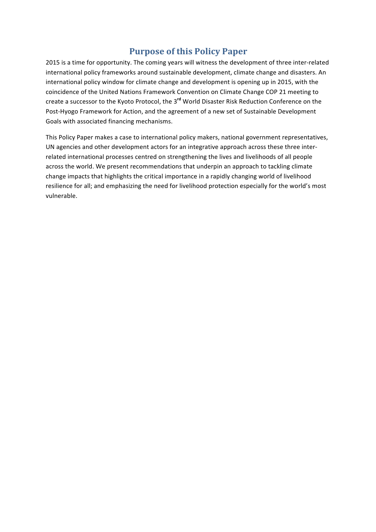# **Purpose of this Policy Paper**

2015 is a time for opportunity. The coming years will witness the development of three inter-related international policy frameworks around sustainable development, climate change and disasters. An international policy window for climate change and development is opening up in 2015, with the coincidence of the United Nations Framework Convention on Climate Change COP 21 meeting to create a successor to the Kyoto Protocol, the 3<sup>rd</sup> World Disaster Risk Reduction Conference on the Post-Hyogo Framework for Action, and the agreement of a new set of Sustainable Development Goals with associated financing mechanisms.

This Policy Paper makes a case to international policy makers, national government representatives, UN agencies and other development actors for an integrative approach across these three interrelated international processes centred on strengthening the lives and livelihoods of all people across the world. We present recommendations that underpin an approach to tackling climate change impacts that highlights the critical importance in a rapidly changing world of livelihood resilience for all; and emphasizing the need for livelihood protection especially for the world's most vulnerable.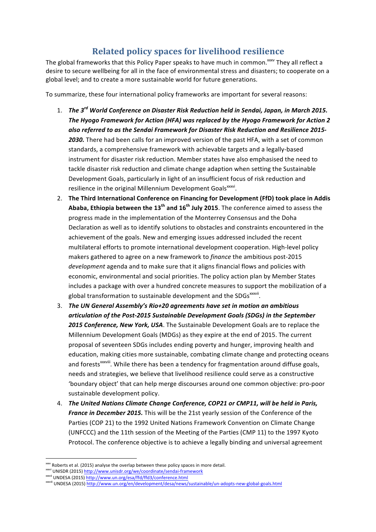# **Related policy spaces for livelihood resilience**

The global frameworks that this Policy Paper speaks to have much in common.<sup> $xxx$ </sup> They all reflect a desire to secure wellbeing for all in the face of environmental stress and disasters; to cooperate on a global level; and to create a more sustainable world for future generations.

To summarize, these four international policy frameworks are important for several reasons:

- 1. *The 3<sup>rd</sup> World Conference on Disaster Risk Reduction held in Sendai, Japan, in March 2015.* The Hyogo Framework for Action (HFA) was replaced by the Hyogo Framework for Action 2 also referred to as the Sendai Framework for Disaster Risk Reduction and Resilience 2015-**2030.** There had been calls for an improved version of the past HFA, with a set of common standards, a comprehensive framework with achievable targets and a legally-based instrument for disaster risk reduction. Member states have also emphasised the need to tackle disaster risk reduction and climate change adaption when setting the Sustainable Development Goals, particularly in light of an insufficient focus of risk reduction and resilience in the original Millennium Development Goals<sup>xxxvi</sup>.
- 2. The Third International Conference on Financing for Development (FfD) took place in Addis **Ababa, Ethiopia between the 13<sup>th</sup> and 16<sup>th</sup> July 2015. The conference aimed to assess the** progress made in the implementation of the Monterrey Consensus and the Doha Declaration as well as to identify solutions to obstacles and constraints encountered in the achievement of the goals. New and emerging issues addressed included the recent multilateral efforts to promote international development cooperation. High-level policy makers gathered to agree on a new framework to *finance* the ambitious post-2015 development agenda and to make sure that it aligns financial flows and policies with economic, environmental and social priorities. The policy action plan by Member States includes a package with over a hundred concrete measures to support the mobilization of a global transformation to sustainable development and the SDGs<sup>xxxvii</sup>.
- 3. The UN General Assembly's Rio+20 agreements have set in motion an ambitious *articulation of the Post-2015 Sustainable Development Goals (SDGs) in the September* **2015 Conference, New York, USA**. The Sustainable Development Goals are to replace the Millennium Development Goals (MDGs) as they expire at the end of 2015. The current proposal of seventeen SDGs includes ending poverty and hunger, improving health and education, making cities more sustainable, combating climate change and protecting oceans and forests<sup>xxxviii</sup>. While there has been a tendency for fragmentation around diffuse goals, needs and strategies, we believe that livelihood resilience could serve as a constructive 'boundary object' that can help merge discourses around one common objective: pro-poor sustainable development policy.
- 4. The United Nations Climate Change Conference, COP21 or CMP11, will be held in Paris, *France in December 2015.* This will be the 21st yearly session of the Conference of the Parties (COP 21) to the 1992 United Nations Framework Convention on Climate Change (UNFCCC) and the 11th session of the Meeting of the Parties (CMP 11) to the 1997 Kyoto Protocol. The conference objective is to achieve a legally binding and universal agreement

<sup>&</sup>lt;u> 1989 - Johann Barn, mars ann an t-Amhain an t-Amhain an t-Amhain an t-Amhain an t-Amhain an t-Amhain an t-Amh</u> xxxv Roberts et al. (2015) analyse the overlap between these policy spaces in more detail.

<sup>&</sup>lt;sup>xxxvi</sup> UNISDR (2015) http://www.unisdr.org/we/coordinate/sendai-framework

xxxvii UNDESA (2015) http://www.un.org/esa/ffd/ffd3/conference.html

xxxviii UNDESA (2015) http://www.un.org/en/development/desa/news/sustainable/un-adopts-new-global-goals.html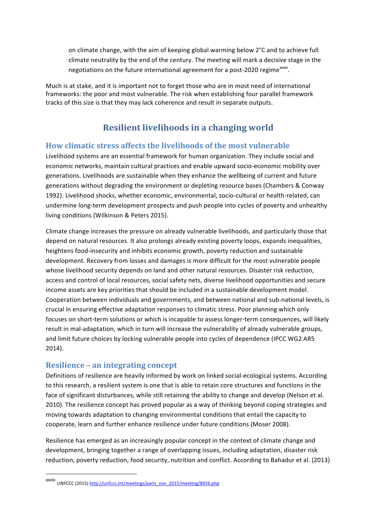on climate change, with the aim of keeping global warming below  $2^{\circ}C$  and to achieve full climate neutrality by the end of the century. The meeting will mark a decisive stage in the negotiations on the future international agreement for a post-2020 regime<sup>xxxix</sup>.

Much is at stake, and it is important not to forget those who are in most need of international frameworks: the poor and most vulnerable. The risk when establishing four parallel framework tracks of this size is that they may lack coherence and result in separate outputs.

# **Resilient livelihoods in a changing world**

#### **How climatic stress affects the livelihoods of the most vulnerable**

Livelihood systems are an essential framework for human organization. They include social and economic networks, maintain cultural practices and enable upward socio-economic mobility over generations. Livelihoods are sustainable when they enhance the wellbeing of current and future generations without degrading the environment or depleting resource bases (Chambers & Conway 1992). Livelihood shocks, whether economic, environmental, socio-cultural or health-related, can undermine long-term development prospects and push people into cycles of poverty and unhealthy living conditions (Wilkinson & Peters 2015).

Climate change increases the pressure on already vulnerable livelihoods, and particularly those that depend on natural resources. It also prolongs already existing poverty loops, expands inequalities, heightens food-insecurity and inhibits economic growth, poverty reduction and sustainable development. Recovery from losses and damages is more difficult for the most vulnerable people whose livelihood security depends on land and other natural resources. Disaster risk reduction, access and control of local resources, social safety nets, diverse livelihood opportunities and secure income assets are key priorities that should be included in a sustainable development model. Cooperation between individuals and governments, and between national and sub-national levels, is crucial in ensuring effective adaptation responses to climatic stress. Poor planning which only focuses on short-term solutions or which is incapable to assess longer-term consequences, will likely result in mal-adaptation, which in turn will increase the vulnerability of already vulnerable groups, and limit future choices by locking vulnerable people into cycles of dependence (IPCC WG2 AR5 2014).

## **Resilience - an integrating concept**

<u> 1989 - Johann Barn, mars ann an t-Amhain an t-Amhain an t-Amhain an t-Amhain an t-Amhain an t-Amhain an t-Amh</u>

Definitions of resilience are heavily informed by work on linked social-ecological systems. According to this research, a resilient system is one that is able to retain core structures and functions in the face of significant disturbances, while still retaining the ability to change and develop (Nelson et al. 2010). The resilience concept has proved popular as a way of thinking beyond coping strategies and moving towards adaptation to changing environmental conditions that entail the capacity to cooperate, learn and further enhance resilience under future conditions (Moser 2008).

Resilience has emerged as an increasingly popular concept in the context of climate change and development, bringing together a range of overlapping issues, including adaptation, disaster risk reduction, poverty reduction, food security, nutrition and conflict. According to Bahadur et al. (2013)

xxxix<br>UNFCCC (2015) <u>http://unfccc.int/meetings/paris\_nov\_2015/meeting/8926.php</u>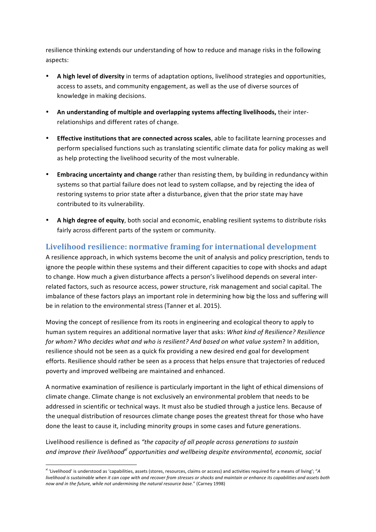resilience thinking extends our understanding of how to reduce and manage risks in the following aspects: 

- A high level of diversity in terms of adaptation options, livelihood strategies and opportunities, access to assets, and community engagement, as well as the use of diverse sources of knowledge in making decisions.
- An understanding of multiple and overlapping systems affecting livelihoods, their interrelationships and different rates of change.
- **Effective institutions that are connected across scales**, able to facilitate learning processes and perform specialised functions such as translating scientific climate data for policy making as well as help protecting the livelihood security of the most vulnerable.
- Embracing uncertainty and change rather than resisting them, by building in redundancy within systems so that partial failure does not lead to system collapse, and by rejecting the idea of restoring systems to prior state after a disturbance, given that the prior state may have contributed to its vulnerability.
- A high degree of equity, both social and economic, enabling resilient systems to distribute risks fairly across different parts of the system or community.

# Livelihood resilience: normative framing for international development

A resilience approach, in which systems become the unit of analysis and policy prescription, tends to ignore the people within these systems and their different capacities to cope with shocks and adapt to change. How much a given disturbance affects a person's livelihood depends on several interrelated factors, such as resource access, power structure, risk management and social capital. The imbalance of these factors plays an important role in determining how big the loss and suffering will be in relation to the environmental stress (Tanner et al. 2015).

Moving the concept of resilience from its roots in engineering and ecological theory to apply to human system requires an additional normative layer that asks: *What kind of Resilience? Resilience for* whom? Who decides what and who is resilient? And based on what value system? In addition, resilience should not be seen as a quick fix providing a new desired end goal for development efforts. Resilience should rather be seen as a process that helps ensure that trajectories of reduced poverty and improved wellbeing are maintained and enhanced.

A normative examination of resilience is particularly important in the light of ethical dimensions of climate change. Climate change is not exclusively an environmental problem that needs to be addressed in scientific or technical ways. It must also be studied through a justice lens. Because of the unequal distribution of resources climate change poses the greatest threat for those who have done the least to cause it, including minority groups in some cases and future generations.

Livelihood resilience is defined as "the capacity of all people across generations to sustain and *improve their livelihood*<sup>*x*l</sup> opportunities and wellbeing despite environmental, economic, social

<sup>&</sup>lt;sup>xi</sup> 'Livelihood' is understood as 'capabilities, assets (stores, resources, claims or access) and activities required for a means of living'; "A *livelihood* is sustainable when it can cope with and recover from stresses or shocks and maintain or enhance its capabilities and assets both now and in the future, while not undermining the natural resource base." (Carney 1998)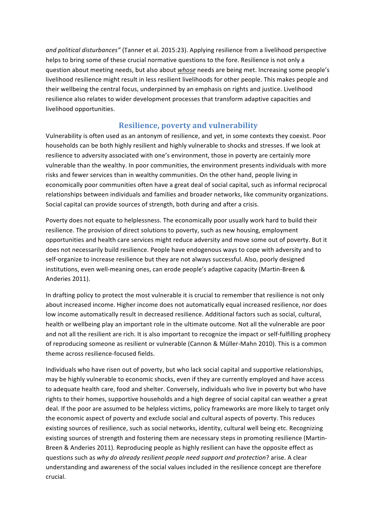and political disturbances" (Tanner et al. 2015:23). Applying resilience from a livelihood perspective helps to bring some of these crucial normative questions to the fore. Resilience is not only a question about meeting needs, but also about whose needs are being met. Increasing some people's livelihood resilience might result in less resilient livelihoods for other people. This makes people and their wellbeing the central focus, underpinned by an emphasis on rights and justice. Livelihood resilience also relates to wider development processes that transform adaptive capacities and livelihood opportunities.

## **Resilience, poverty and vulnerability**

Vulnerability is often used as an antonym of resilience, and yet, in some contexts they coexist. Poor households can be both highly resilient and highly vulnerable to shocks and stresses. If we look at resilience to adversity associated with one's environment, those in poverty are certainly more vulnerable than the wealthy. In poor communities, the environment presents individuals with more risks and fewer services than in wealthy communities. On the other hand, people living in economically poor communities often have a great deal of social capital, such as informal reciprocal relationships between individuals and families and broader networks, like community organizations. Social capital can provide sources of strength, both during and after a crisis.

Poverty does not equate to helplessness. The economically poor usually work hard to build their resilience. The provision of direct solutions to poverty, such as new housing, employment opportunities and health care services might reduce adversity and move some out of poverty. But it does not necessarily build resilience. People have endogenous ways to cope with adversity and to self-organize to increase resilience but they are not always successful. Also, poorly designed institutions, even well-meaning ones, can erode people's adaptive capacity (Martin-Breen & Anderies 2011).

In drafting policy to protect the most vulnerable it is crucial to remember that resilience is not only about increased income. Higher income does not automatically equal increased resilience, nor does low income automatically result in decreased resilience. Additional factors such as social, cultural, health or wellbeing play an important role in the ultimate outcome. Not all the vulnerable are poor and not all the resilient are rich. It is also important to recognize the impact or self-fulfilling prophecy of reproducing someone as resilient or vulnerable (Cannon & Müller-Mahn 2010). This is a common theme across resilience-focused fields.

Individuals who have risen out of poverty, but who lack social capital and supportive relationships, may be highly vulnerable to economic shocks, even if they are currently employed and have access to adequate health care, food and shelter. Conversely, individuals who live in poverty but who have rights to their homes, supportive households and a high degree of social capital can weather a great deal. If the poor are assumed to be helpless victims, policy frameworks are more likely to target only the economic aspect of poverty and exclude social and cultural aspects of poverty. This reduces existing sources of resilience, such as social networks, identity, cultural well being etc. Recognizing existing sources of strength and fostering them are necessary steps in promoting resilience (Martin-Breen & Anderies 2011). Reproducing people as highly resilient can have the opposite effect as questions such as *why do already resilient people need support and protection*? arise. A clear understanding and awareness of the social values included in the resilience concept are therefore crucial.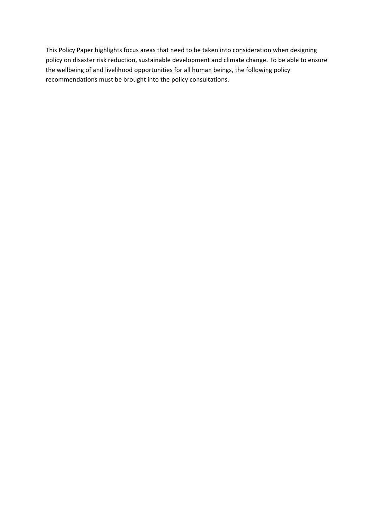This Policy Paper highlights focus areas that need to be taken into consideration when designing policy on disaster risk reduction, sustainable development and climate change. To be able to ensure the wellbeing of and livelihood opportunities for all human beings, the following policy recommendations must be brought into the policy consultations.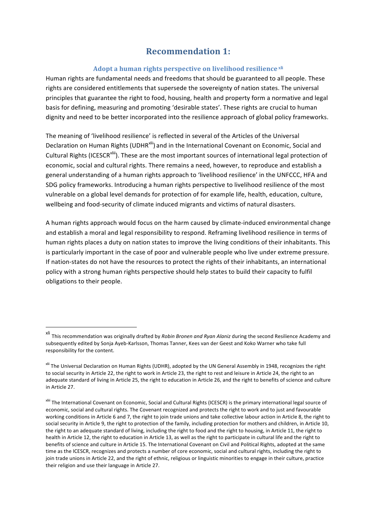# **Recommendation 1:**

#### **Adopt a human rights perspective on livelihood resilience xli**

Human rights are fundamental needs and freedoms that should be guaranteed to all people. These rights are considered entitlements that supersede the sovereignty of nation states. The universal principles that guarantee the right to food, housing, health and property form a normative and legal basis for defining, measuring and promoting 'desirable states'. These rights are crucial to human dignity and need to be better incorporated into the resilience approach of global policy frameworks.

The meaning of 'livelihood resilience' is reflected in several of the Articles of the Universal Declaration on Human Rights (UDHR<sup>xlii</sup>) and in the International Covenant on Economic, Social and Cultural Rights (ICESCR<sup>xliii</sup>). These are the most important sources of international legal protection of economic, social and cultural rights. There remains a need, however, to reproduce and establish a general understanding of a human rights approach to 'livelihood resilience' in the UNFCCC, HFA and SDG policy frameworks. Introducing a human rights perspective to livelihood resilience of the most vulnerable on a global level demands for protection of for example life, health, education, culture, wellbeing and food-security of climate induced migrants and victims of natural disasters.

A human rights approach would focus on the harm caused by climate-induced environmental change and establish a moral and legal responsibility to respond. Reframing livelihood resilience in terms of human rights places a duty on nation states to improve the living conditions of their inhabitants. This is particularly important in the case of poor and vulnerable people who live under extreme pressure. If nation-states do not have the resources to protect the rights of their inhabitants, an international policy with a strong human rights perspective should help states to build their capacity to fulfil obligations to their people.

xli This recommendation was originally drafted by *Robin Bronen and Ryan Alaniz* during the second Resilience Academy and subsequently edited by Sonja Ayeb-Karlsson, Thomas Tanner, Kees van der Geest and Koko Warner who take full responsibility for the content.

xlii The Universal Declaration on Human Rights (UDHR), adopted by the UN General Assembly in 1948, recognizes the right to social security in Article 22, the right to work in Article 23, the right to rest and leisure in Article 24, the right to an adequate standard of living in Article 25, the right to education in Article 26, and the right to benefits of science and culture in Article 27.

xliii The International Covenant on Economic, Social and Cultural Rights (ICESCR) is the primary international legal source of economic, social and cultural rights. The Covenant recognized and protects the right to work and to just and favourable working conditions in Article 6 and 7, the right to join trade unions and take collective labour action in Article 8, the right to social security in Article 9, the right to protection of the family, including protection for mothers and children, in Article 10, the right to an adequate standard of living, including the right to food and the right to housing, in Article 11, the right to health in Article 12, the right to education in Article 13, as well as the right to participate in cultural life and the right to benefits of science and culture in Article 15. The International Covenant on Civil and Political Rights, adopted at the same time as the ICESCR, recognizes and protects a number of core economic, social and cultural rights, including the right to join trade unions in Article 22, and the right of ethnic, religious or linguistic minorities to engage in their culture, practice their religion and use their language in Article 27.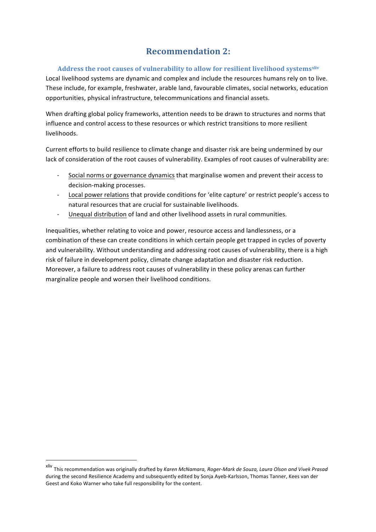# **Recommendation 2:**

#### Address the root causes of vulnerability to allow for resilient livelihood systems<sup>xliv</sup>

Local livelihood systems are dynamic and complex and include the resources humans rely on to live. These include, for example, freshwater, arable land, favourable climates, social networks, education opportunities, physical infrastructure, telecommunications and financial assets.

When drafting global policy frameworks, attention needs to be drawn to structures and norms that influence and control access to these resources or which restrict transitions to more resilient livelihoods.

Current efforts to build resilience to climate change and disaster risk are being undermined by our lack of consideration of the root causes of vulnerability. Examples of root causes of vulnerability are:

- Social norms or governance dynamics that marginalise women and prevent their access to decision-making processes.
- Local power relations that provide conditions for 'elite capture' or restrict people's access to natural resources that are crucial for sustainable livelihoods.
- Unequal distribution of land and other livelihood assets in rural communities.

Inequalities, whether relating to voice and power, resource access and landlessness, or a combination of these can create conditions in which certain people get trapped in cycles of poverty and vulnerability. Without understanding and addressing root causes of vulnerability, there is a high risk of failure in development policy, climate change adaptation and disaster risk reduction. Moreover, a failure to address root causes of vulnerability in these policy arenas can further marginalize people and worsen their livelihood conditions.

xliv This recommendation was originally drafted by *Karen McNamara, Roger-Mark de Souza, Laura Olson and Vivek Prasad* during the second Resilience Academy and subsequently edited by Sonja Ayeb-Karlsson, Thomas Tanner, Kees van der Geest and Koko Warner who take full responsibility for the content.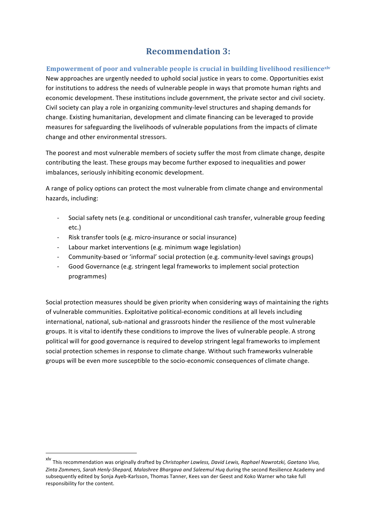# **Recommendation 3:**

**Empowerment of poor and vulnerable people is crucial in building livelihood resiliencexly** New approaches are urgently needed to uphold social justice in years to come. Opportunities exist for institutions to address the needs of vulnerable people in ways that promote human rights and economic development. These institutions include government, the private sector and civil society. Civil society can play a role in organizing community-level structures and shaping demands for change. Existing humanitarian, development and climate financing can be leveraged to provide measures for safeguarding the livelihoods of vulnerable populations from the impacts of climate change and other environmental stressors.

The poorest and most vulnerable members of society suffer the most from climate change, despite contributing the least. These groups may become further exposed to inequalities and power imbalances, seriously inhibiting economic development.

A range of policy options can protect the most vulnerable from climate change and environmental hazards, including: 

- Social safety nets (e.g. conditional or unconditional cash transfer, vulnerable group feeding etc.)
- Risk transfer tools (e.g. micro-insurance or social insurance)
- Labour market interventions (e.g. minimum wage legislation)
- Community-based or 'informal' social protection (e.g. community-level savings groups)
- Good Governance (e.g. stringent legal frameworks to implement social protection programmes)

Social protection measures should be given priority when considering ways of maintaining the rights of vulnerable communities. Exploitative political-economic conditions at all levels including international, national, sub-national and grassroots hinder the resilience of the most vulnerable groups. It is vital to identify these conditions to improve the lives of vulnerable people. A strong political will for good governance is required to develop stringent legal frameworks to implement social protection schemes in response to climate change. Without such frameworks vulnerable groups will be even more susceptible to the socio-economic consequences of climate change.

<u> 1989 - Johann Barn, mars eta bainar eta industrial eta baina eta baina eta baina eta baina eta baina eta bain</u>

<sup>&</sup>lt;sup>xlv</sup> This recommendation was originally drafted by *Christopher Lawless, David Lewis, Raphael Nawrotzki, Gaetano Vivo,* Zinta Zommers, Sarah Henly-Shepard, Malashree Bhargava and Saleemul Hug during the second Resilience Academy and subsequently edited by Sonja Ayeb-Karlsson, Thomas Tanner, Kees van der Geest and Koko Warner who take full responsibility for the content.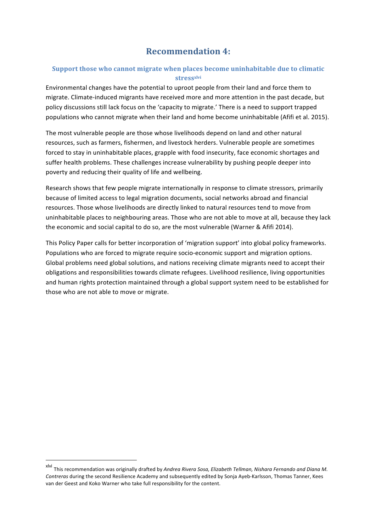# **Recommendation 4:**

## **Support those who cannot migrate when places become uninhabitable due to climatic stressxlvi**

Environmental changes have the potential to uproot people from their land and force them to migrate. Climate-induced migrants have received more and more attention in the past decade, but policy discussions still lack focus on the 'capacity to migrate.' There is a need to support trapped populations who cannot migrate when their land and home become uninhabitable (Afifi et al. 2015).

The most vulnerable people are those whose livelihoods depend on land and other natural resources, such as farmers, fishermen, and livestock herders. Vulnerable people are sometimes forced to stay in uninhabitable places, grapple with food insecurity, face economic shortages and suffer health problems. These challenges increase vulnerability by pushing people deeper into poverty and reducing their quality of life and wellbeing.

Research shows that few people migrate internationally in response to climate stressors, primarily because of limited access to legal migration documents, social networks abroad and financial resources. Those whose livelihoods are directly linked to natural resources tend to move from uninhabitable places to neighbouring areas. Those who are not able to move at all, because they lack the economic and social capital to do so, are the most vulnerable (Warner & Afifi 2014).

This Policy Paper calls for better incorporation of 'migration support' into global policy frameworks. Populations who are forced to migrate require socio-economic support and migration options. Global problems need global solutions, and nations receiving climate migrants need to accept their obligations and responsibilities towards climate refugees. Livelihood resilience, living opportunities and human rights protection maintained through a global support system need to be established for those who are not able to move or migrate.

x<sup>lvi</sup> This recommendation was originally drafted by *Andrea Rivera Sosa, Elizabeth Tellman, Nishara Fernando and Diana M. Contreras* during the second Resilience Academy and subsequently edited by Sonja Ayeb-Karlsson, Thomas Tanner, Kees van der Geest and Koko Warner who take full responsibility for the content.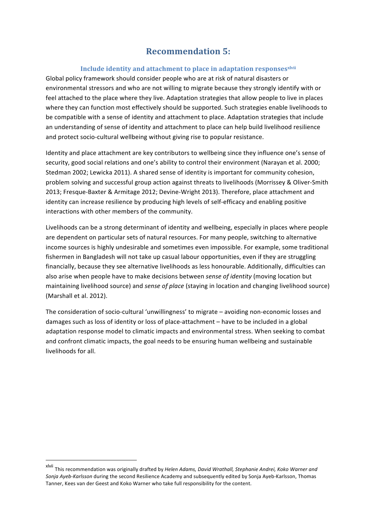# **Recommendation 5:**

#### **Include identity and attachment to place in adaptation responses<sup>xlvii</sup>**

Global policy framework should consider people who are at risk of natural disasters or environmental stressors and who are not willing to migrate because they strongly identify with or feel attached to the place where they live. Adaptation strategies that allow people to live in places where they can function most effectively should be supported. Such strategies enable livelihoods to be compatible with a sense of identity and attachment to place. Adaptation strategies that include an understanding of sense of identity and attachment to place can help build livelihood resilience and protect socio-cultural wellbeing without giving rise to popular resistance.

Identity and place attachment are key contributors to wellbeing since they influence one's sense of security, good social relations and one's ability to control their environment (Narayan et al. 2000; Stedman 2002; Lewicka 2011). A shared sense of identity is important for community cohesion, problem solving and successful group action against threats to livelihoods (Morrissey & Oliver-Smith 2013; Fresque-Baxter & Armitage 2012; Devine-Wright 2013). Therefore, place attachment and identity can increase resilience by producing high levels of self-efficacy and enabling positive interactions with other members of the community.

Livelihoods can be a strong determinant of identity and wellbeing, especially in places where people are dependent on particular sets of natural resources. For many people, switching to alternative income sources is highly undesirable and sometimes even impossible. For example, some traditional fishermen in Bangladesh will not take up casual labour opportunities, even if they are struggling financially, because they see alternative livelihoods as less honourable. Additionally, difficulties can also arise when people have to make decisions between *sense of identity* (moving location but maintaining livelihood source) and *sense of place* (staying in location and changing livelihood source) (Marshall et al. 2012).

The consideration of socio-cultural 'unwillingness' to migrate  $-$  avoiding non-economic losses and damages such as loss of identity or loss of place-attachment – have to be included in a global adaptation response model to climatic impacts and environmental stress. When seeking to combat and confront climatic impacts, the goal needs to be ensuring human wellbeing and sustainable livelihoods for all.

xlvii This recommendation was originally drafted by *Helen Adams, David Wrathall, Stephanie Andrei, Koko Warner and* Sonja Ayeb-Karlsson during the second Resilience Academy and subsequently edited by Sonja Ayeb-Karlsson, Thomas Tanner, Kees van der Geest and Koko Warner who take full responsibility for the content.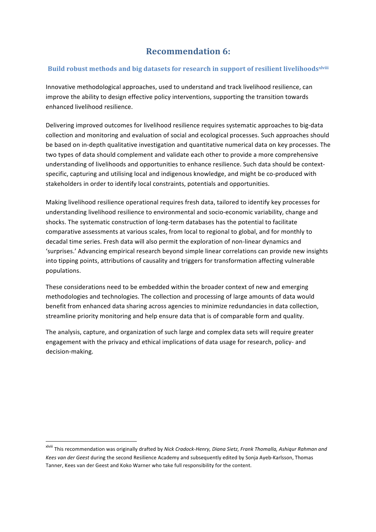# **Recommendation 6:**

#### **Build robust methods and big datasets for research in support of resilient livelihoods<sup>xlviii</sup>**

Innovative methodological approaches, used to understand and track livelihood resilience, can improve the ability to design effective policy interventions, supporting the transition towards enhanced livelihood resilience.

Delivering improved outcomes for livelihood resilience requires systematic approaches to big-data collection and monitoring and evaluation of social and ecological processes. Such approaches should be based on in-depth qualitative investigation and quantitative numerical data on key processes. The two types of data should complement and validate each other to provide a more comprehensive understanding of livelihoods and opportunities to enhance resilience. Such data should be contextspecific, capturing and utilising local and indigenous knowledge, and might be co-produced with stakeholders in order to identify local constraints, potentials and opportunities.

Making livelihood resilience operational requires fresh data, tailored to identify key processes for understanding livelihood resilience to environmental and socio-economic variability, change and shocks. The systematic construction of long-term databases has the potential to facilitate comparative assessments at various scales, from local to regional to global, and for monthly to decadal time series. Fresh data will also permit the exploration of non-linear dynamics and 'surprises.' Advancing empirical research beyond simple linear correlations can provide new insights into tipping points, attributions of causality and triggers for transformation affecting vulnerable populations.

These considerations need to be embedded within the broader context of new and emerging methodologies and technologies. The collection and processing of large amounts of data would benefit from enhanced data sharing across agencies to minimize redundancies in data collection, streamline priority monitoring and help ensure data that is of comparable form and quality.

The analysis, capture, and organization of such large and complex data sets will require greater engagement with the privacy and ethical implications of data usage for research, policy- and decision-making.

x<sup>lviii</sup> This recommendation was originally drafted by *Nick Cradock-Henry, Diana Sietz, Frank Thomalla, Ashiqur Rahman and* Kees van der Geest during the second Resilience Academy and subsequently edited by Sonja Ayeb-Karlsson, Thomas Tanner, Kees van der Geest and Koko Warner who take full responsibility for the content.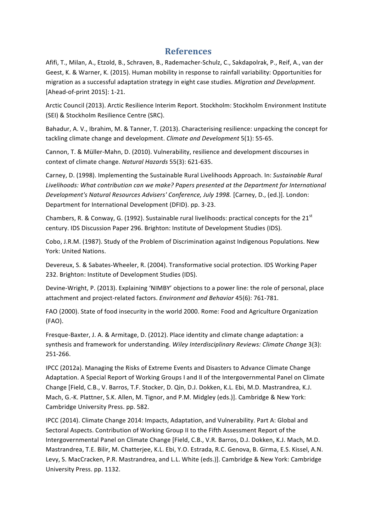# **References**

Afifi, T., Milan, A., Etzold, B., Schraven, B., Rademacher-Schulz, C., Sakdapolrak, P., Reif, A., van der Geest, K. & Warner, K. (2015). Human mobility in response to rainfall variability: Opportunities for migration as a successful adaptation strategy in eight case studies. *Migration and Development.* [Ahead-of-print 2015]: 1-21.

Arctic Council (2013). Arctic Resilience Interim Report. Stockholm: Stockholm Environment Institute (SEI) & Stockholm Resilience Centre (SRC).

Bahadur, A. V., Ibrahim, M. & Tanner, T. (2013). Characterising resilience: unpacking the concept for tackling climate change and development. *Climate and Development* 5(1): 55-65.

Cannon, T. & Müller-Mahn, D. (2010). Vulnerability, resilience and development discourses in context of climate change. *Natural Hazards* 55(3): 621-635.

Carney, D. (1998). Implementing the Sustainable Rural Livelihoods Approach. In: *Sustainable Rural* Livelihoods: What contribution can we make? Papers presented at the Department for International *Development's Natural Resources Advisers' Conference, July 1998.* [Carney, D., (ed.)]. London: Department for International Development (DFID). pp. 3-23.

Chambers, R. & Conway, G. (1992). Sustainable rural livelihoods: practical concepts for the  $21<sup>st</sup>$ century. IDS Discussion Paper 296. Brighton: Institute of Development Studies (IDS).

Cobo, J.R.M. (1987). Study of the Problem of Discrimination against Indigenous Populations. New York: United Nations.

Devereux, S. & Sabates-Wheeler, R. (2004). Transformative social protection. IDS Working Paper 232. Brighton: Institute of Development Studies (IDS).

Devine-Wright, P. (2013). Explaining 'NIMBY' objections to a power line: the role of personal, place attachment and project-related factors. *Environment and Behavior* 45(6): 761-781.

FAO (2000). State of food insecurity in the world 2000. Rome: Food and Agriculture Organization (FAO).

Fresque-Baxter, J. A. & Armitage, D. (2012). Place identity and climate change adaptation: a synthesis and framework for understanding. *Wiley Interdisciplinary Reviews: Climate Change* 3(3): 251-266.

IPCC (2012a). Managing the Risks of Extreme Events and Disasters to Advance Climate Change Adaptation. A Special Report of Working Groups I and II of the Intergovernmental Panel on Climate Change [Field, C.B., V. Barros, T.F. Stocker, D. Qin, D.J. Dokken, K.L. Ebi, M.D. Mastrandrea, K.J. Mach, G.-K. Plattner, S.K. Allen, M. Tignor, and P.M. Midgley (eds.)]. Cambridge & New York: Cambridge University Press. pp. 582.

IPCC (2014). Climate Change 2014: Impacts, Adaptation, and Vulnerability. Part A: Global and Sectoral Aspects. Contribution of Working Group II to the Fifth Assessment Report of the Intergovernmental Panel on Climate Change [Field, C.B., V.R. Barros, D.J. Dokken, K.J. Mach, M.D. Mastrandrea, T.E. Bilir, M. Chatterjee, K.L. Ebi, Y.O. Estrada, R.C. Genova, B. Girma, E.S. Kissel, A.N. Levy, S. MacCracken, P.R. Mastrandrea, and L.L. White (eds.)]. Cambridge & New York: Cambridge University Press. pp. 1132.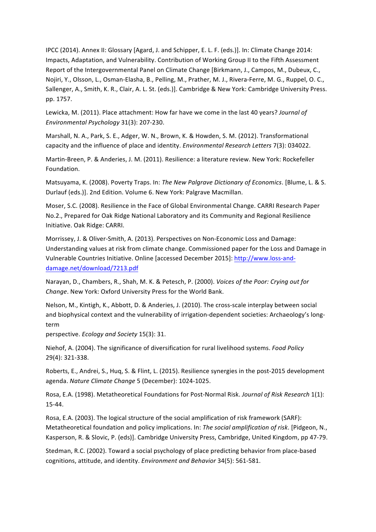IPCC (2014). Annex II: Glossary [Agard, J. and Schipper, E. L. F. (eds.)]. In: Climate Change 2014: Impacts, Adaptation, and Vulnerability. Contribution of Working Group II to the Fifth Assessment Report of the Intergovernmental Panel on Climate Change [Birkmann, J., Campos, M., Dubeux, C., Nojiri, Y., Olsson, L., Osman-Elasha, B., Pelling, M., Prather, M. J., Rivera-Ferre, M. G., Ruppel, O. C., Sallenger, A., Smith, K. R., Clair, A. L. St. (eds.)]. Cambridge & New York: Cambridge University Press. pp. 1757.

Lewicka, M. (2011). Place attachment: How far have we come in the last 40 years? *Journal of Environmental Psychology* 31(3): 207-230.

Marshall, N. A., Park, S. E., Adger, W. N., Brown, K. & Howden, S. M. (2012). Transformational capacity and the influence of place and identity. *Environmental Research Letters* 7(3): 034022.

Martin-Breen, P. & Anderies, J. M. (2011). Resilience: a literature review. New York: Rockefeller Foundation.

Matsuyama, K. (2008). Poverty Traps. In: The New Palgrave Dictionary of Economics. [Blume, L. & S. Durlauf (eds.)]. 2nd Edition. Volume 6. New York: Palgrave Macmillan.

Moser, S.C. (2008). Resilience in the Face of Global Environmental Change. CARRI Research Paper No.2., Prepared for Oak Ridge National Laboratory and its Community and Regional Resilience Initiative. Oak Ridge: CARRI.

Morrissey, J. & Oliver-Smith, A. (2013). Perspectives on Non-Economic Loss and Damage: Understanding values at risk from climate change. Commissioned paper for the Loss and Damage in Vulnerable Countries Initiative. Online [accessed December 2015]: http://www.loss-anddamage.net/download/7213.pdf

Narayan, D., Chambers, R., Shah, M. K. & Petesch, P. (2000). *Voices of the Poor: Crying out for Change*. New York: Oxford University Press for the World Bank.

Nelson, M., Kintigh, K., Abbott, D. & Anderies, J. (2010). The cross-scale interplay between social and biophysical context and the vulnerability of irrigation-dependent societies: Archaeology's longterm

perspective. *Ecology and Society* 15(3): 31.

Niehof, A. (2004). The significance of diversification for rural livelihood systems. *Food Policy* 29(4): 321-338. 

Roberts, E., Andrei, S., Huq, S. & Flint, L. (2015). Resilience synergies in the post-2015 development agenda. *Nature Climate Change* 5 (December): 1024-1025.

Rosa, E.A. (1998). Metatheoretical Foundations for Post-Normal Risk. *Journal of Risk Research* 1(1): 15-44.

Rosa, E.A. (2003). The logical structure of the social amplification of risk framework (SARF): Metatheoretical foundation and policy implications. In: *The social amplification of risk*. [Pidgeon, N., Kasperson, R. & Slovic, P. (eds)]. Cambridge University Press, Cambridge, United Kingdom, pp 47-79.

Stedman, R.C. (2002). Toward a social psychology of place predicting behavior from place-based cognitions, attitude, and identity. *Environment and Behavior* 34(5): 561-581.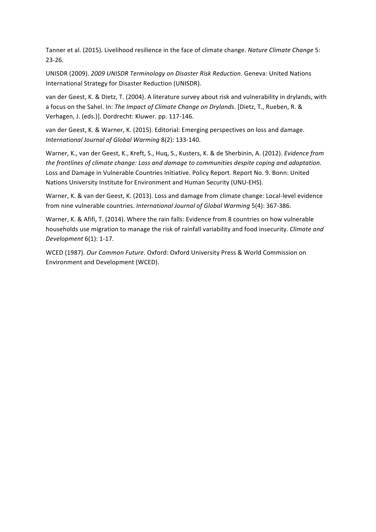Tanner et al. (2015). Livelihood resilience in the face of climate change. *Nature Climate Change* 5: 23-26. 

UNISDR (2009). *2009 UNISDR Terminology on Disaster Risk Reduction*. Geneva: United Nations International Strategy for Disaster Reduction (UNISDR).

van der Geest, K. & Dietz, T. (2004). A literature survey about risk and vulnerability in drylands, with a focus on the Sahel. In: *The Impact of Climate Change on Drylands*. [Dietz, T., Rueben, R. & Verhagen, J. (eds.)]. Dordrecht: Kluwer. pp. 117-146.

van der Geest, K. & Warner, K. (2015). Editorial: Emerging perspectives on loss and damage. International Journal of Global Warming 8(2): 133-140.

Warner, K., van der Geest, K., Kreft, S., Huq, S., Kusters, K. & de Sherbinin, A. (2012). *Evidence from the frontlines of climate change: Loss and damage to communities despite coping and adaptation.* Loss and Damage in Vulnerable Countries Initiative. Policy Report. Report No. 9. Bonn: United Nations University Institute for Environment and Human Security (UNU-EHS).

Warner, K. & van der Geest, K. (2013). Loss and damage from climate change: Local-level evidence from nine vulnerable countries. *International Journal of Global Warming* 5(4): 367-386.

Warner, K. & Afifi, T. (2014). Where the rain falls: Evidence from 8 countries on how vulnerable households use migration to manage the risk of rainfall variability and food insecurity. *Climate and Development* 6(1): 1-17.

WCED (1987). *Our Common Future*. Oxford: Oxford University Press & World Commission on Environment and Development (WCED).